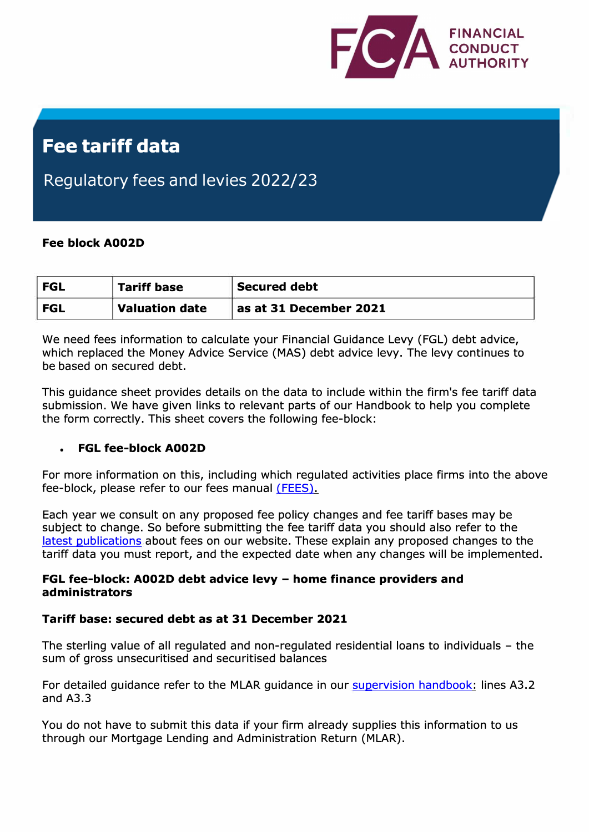

# **Fee tariff data**

Regulatory fees and levies 2022/23

## **Fee block A002D**

| <b>FGL</b> | <b>Tariff base</b>    | <b>Secured debt</b>               |
|------------|-----------------------|-----------------------------------|
| <b>FGL</b> | <b>Valuation date</b> | $^{\circ}$ as at 31 December 2021 |

We need fees information to calculate your Financial Guidance Levy (FGL) debt advice, which replaced the Money Advice Service (MAS) debt advice levy. The levy continues to be based on secured debt.

This guidance sheet provides details on the data to include within the firm's fee tariff data submission. We have given links to relevant parts of our Handbook to help you complete the form correctly. This sheet covers the following fee-block:

### • **FGL fee-block A002D**

For more information on this, including which regulated activities place firms into the above fee-block, please refer to our fees manual [\(FEES\).](https://www.handbook.fca.org.uk/handbook/FEES/1/)

Each year we consult on any proposed fee policy changes and fee tariff bases may be subject to change. So before submitting the fee tariff data you should also refer to the [latest publications](https://www.fca.org.uk/firms/fees/publications) about fees on our website. These explain any proposed changes to the tariff data you must report, and the expected date when any changes will be implemented.

### **FGL fee-block: A002D debt advice levy - home finance providers and administrators**

### **Tariff base: secured debt as at 31 December 2021**

The sterling value of all regulated and non-regulated residential loans to individuals - the sum of gross unsecuritised and securitised balances

For detailed guidance refer to the MLAR guidance in our [supervision handbook:](https://www.handbook.fca.org.uk/handbook/SUP/16/Annex19B.html) lines A3.2 and A3.3

You do not have to submit this data if your firm already supplies this information to us through our Mortgage Lending and Administration Return (MLAR).